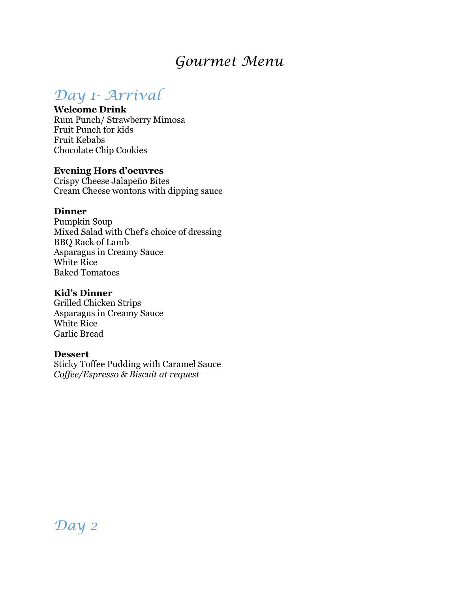# *Gourmet Menu*

# *Day 1- Arrival*

## **Welcome Drink**

Rum Punch/ Strawberry Mimosa Fruit Punch for kids Fruit Kebabs Chocolate Chip Cookies

## **Evening Hors d'oeuvres**

Crispy Cheese Jalapeño Bites Cream Cheese wontons with dipping sauce

## **Dinner**

Pumpkin Soup Mixed Salad with Chef's choice of dressing BBQ Rack of Lamb Asparagus in Creamy Sauce White Rice Baked Tomatoes

## **Kid's Dinner**

Grilled Chicken Strips Asparagus in Creamy Sauce White Rice Garlic Bread

## **Dessert**

Sticky Toffee Pudding with Caramel Sauce *Coffee/Espresso & Biscuit at request*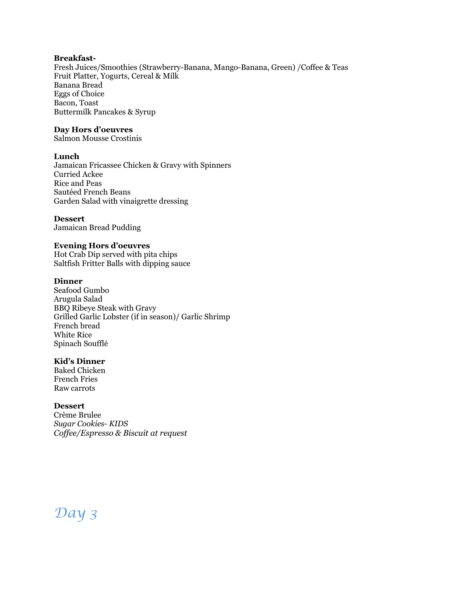#### **Breakfast-**

Fresh Juices/Smoothies (Strawberry-Banana, Mango-Banana, Green) /Coffee & Teas Fruit Platter, Yogurts, Cereal & Milk Banana Bread Eggs of Choice Bacon, Toast Buttermilk Pancakes & Syrup

#### **Day Hors d'oeuvres**

Salmon Mousse Crostinis

#### **Lunch**

Jamaican Fricassee Chicken & Gravy with Spinners Curried Ackee Rice and Peas Sautéed French Beans Garden Salad with vinaigrette dressing

#### **Dessert**

Jamaican Bread Pudding

#### **Evening Hors d'oeuvres**

Hot Crab Dip served with pita chips Saltfish Fritter Balls with dipping sauce

#### **Dinner**

Seafood Gumbo Arugula Salad BBQ Ribeye Steak with Gravy Grilled Garlic Lobster (if in season)/ Garlic Shrimp French bread White Rice Spinach Soufflé

## **Kid's Dinner**

Baked Chicken French Fries Raw carrots

#### **Dessert**

Crème Brulee *Sugar Cookies- KIDS Coffee/Espresso & Biscuit at request*

# *Day 3*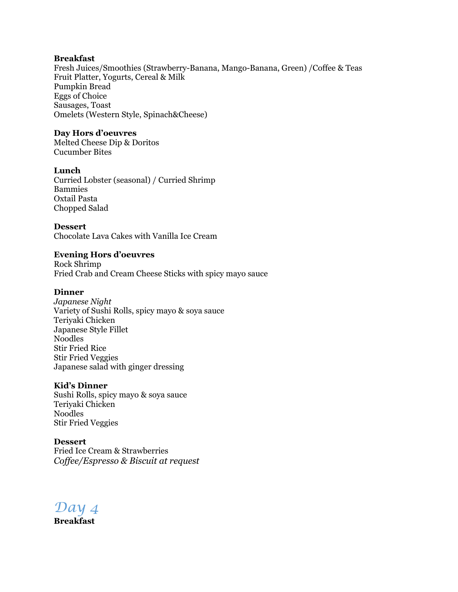#### **Breakfast**

Fresh Juices/Smoothies (Strawberry-Banana, Mango-Banana, Green) /Coffee & Teas Fruit Platter, Yogurts, Cereal & Milk Pumpkin Bread Eggs of Choice Sausages, Toast Omelets (Western Style, Spinach&Cheese)

## **Day Hors d'oeuvres**

Melted Cheese Dip & Doritos Cucumber Bites

## **Lunch**

Curried Lobster (seasonal) / Curried Shrimp Bammies Oxtail Pasta Chopped Salad

#### **Dessert**

Chocolate Lava Cakes with Vanilla Ice Cream

## **Evening Hors d'oeuvres**

Rock Shrimp Fried Crab and Cream Cheese Sticks with spicy mayo sauce

### **Dinner**

*Japanese Night* Variety of Sushi Rolls, spicy mayo & soya sauce Teriyaki Chicken Japanese Style Fillet Noodles Stir Fried Rice Stir Fried Veggies Japanese salad with ginger dressing

#### **Kid's Dinner**

Sushi Rolls, spicy mayo & soya sauce Teriyaki Chicken Noodles Stir Fried Veggies

**Dessert** Fried Ice Cream & Strawberries *Coffee/Espresso & Biscuit at request*

*Day 4*

**Breakfast**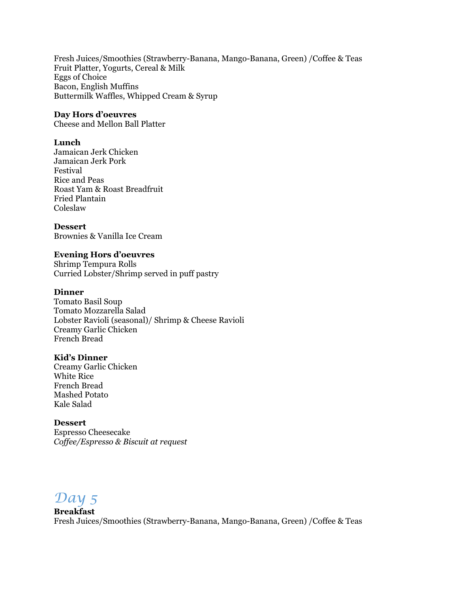Fresh Juices/Smoothies (Strawberry-Banana, Mango-Banana, Green) /Coffee & Teas Fruit Platter, Yogurts, Cereal & Milk Eggs of Choice Bacon, English Muffins Buttermilk Waffles, Whipped Cream & Syrup

#### **Day Hors d'oeuvres**

Cheese and Mellon Ball Platter

#### **Lunch**

Jamaican Jerk Chicken Jamaican Jerk Pork Festival Rice and Peas Roast Yam & Roast Breadfruit Fried Plantain Coleslaw

#### **Dessert**

Brownies & Vanilla Ice Cream

#### **Evening Hors d'oeuvres**

Shrimp Tempura Rolls Curried Lobster/Shrimp served in puff pastry

#### **Dinner**

Tomato Basil Soup Tomato Mozzarella Salad Lobster Ravioli (seasonal)/ Shrimp & Cheese Ravioli Creamy Garlic Chicken French Bread

#### **Kid's Dinner**

Creamy Garlic Chicken White Rice French Bread Mashed Potato Kale Salad

#### **Dessert** Espresso Cheesecake *Coffee/Espresso & Biscuit at request*

## *Day 5*

**Breakfast** Fresh Juices/Smoothies (Strawberry-Banana, Mango-Banana, Green) /Coffee & Teas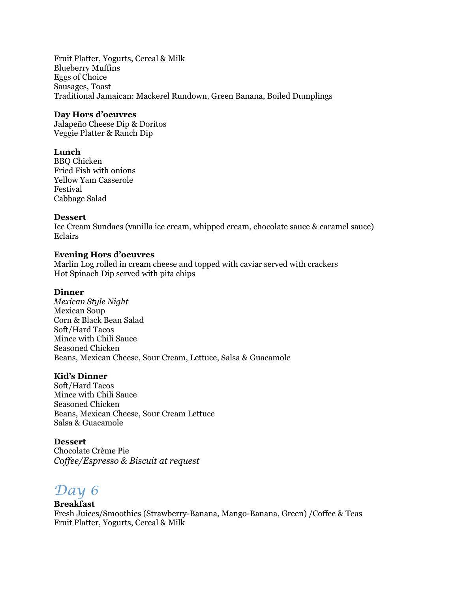Fruit Platter, Yogurts, Cereal & Milk Blueberry Muffins Eggs of Choice Sausages, Toast Traditional Jamaican: Mackerel Rundown, Green Banana, Boiled Dumplings

#### **Day Hors d'oeuvres**

Jalapeño Cheese Dip & Doritos Veggie Platter & Ranch Dip

## **Lunch**

BBQ Chicken Fried Fish with onions Yellow Yam Casserole Festival Cabbage Salad

#### **Dessert**

Ice Cream Sundaes (vanilla ice cream, whipped cream, chocolate sauce & caramel sauce) Eclairs

#### **Evening Hors d'oeuvres**

Marlin Log rolled in cream cheese and topped with caviar served with crackers Hot Spinach Dip served with pita chips

### **Dinner**

*Mexican Style Night*  Mexican Soup Corn & Black Bean Salad Soft/Hard Tacos Mince with Chili Sauce Seasoned Chicken Beans, Mexican Cheese, Sour Cream, Lettuce, Salsa & Guacamole

## **Kid's Dinner**

Soft/Hard Tacos Mince with Chili Sauce Seasoned Chicken Beans, Mexican Cheese, Sour Cream Lettuce Salsa & Guacamole

#### **Dessert**

Chocolate Crème Pie *Coffee/Espresso & Biscuit at request*

## *Day 6*

## **Breakfast**

Fresh Juices/Smoothies (Strawberry-Banana, Mango-Banana, Green) /Coffee & Teas Fruit Platter, Yogurts, Cereal & Milk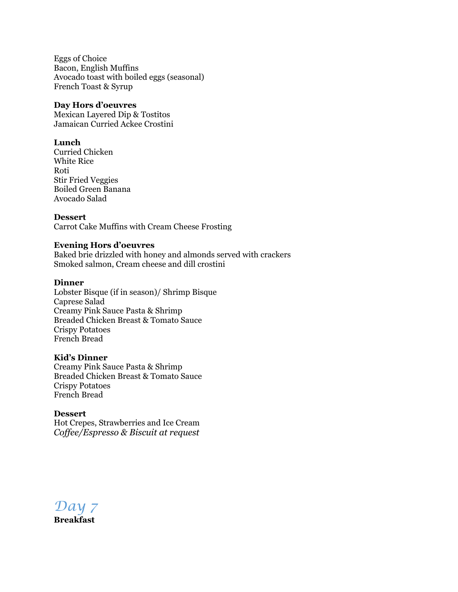Eggs of Choice Bacon, English Muffins Avocado toast with boiled eggs (seasonal) French Toast & Syrup

#### **Day Hors d'oeuvres**

Mexican Layered Dip & Tostitos Jamaican Curried Ackee Crostini

### **Lunch**

Curried Chicken White Rice Roti Stir Fried Veggies Boiled Green Banana Avocado Salad

#### **Dessert**

Carrot Cake Muffins with Cream Cheese Frosting

#### **Evening Hors d'oeuvres**

Baked brie drizzled with honey and almonds served with crackers Smoked salmon, Cream cheese and dill crostini

#### **Dinner**

Lobster Bisque (if in season)/ Shrimp Bisque Caprese Salad Creamy Pink Sauce Pasta & Shrimp Breaded Chicken Breast & Tomato Sauce Crispy Potatoes French Bread

#### **Kid's Dinner**

Creamy Pink Sauce Pasta & Shrimp Breaded Chicken Breast & Tomato Sauce Crispy Potatoes French Bread

#### **Dessert**

Hot Crepes, Strawberries and Ice Cream *Coffee/Espresso & Biscuit at request*

*Day 7*

**Breakfast**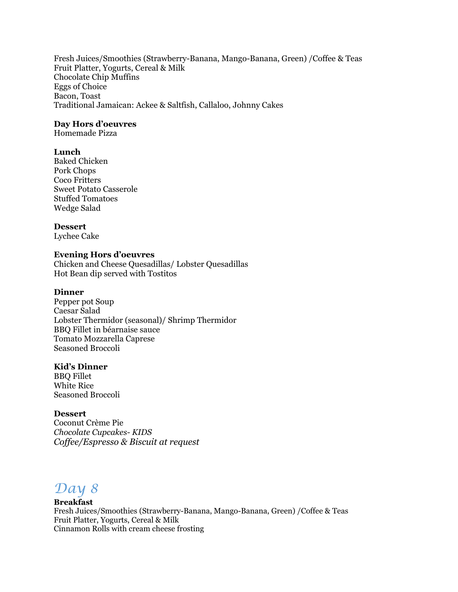Fresh Juices/Smoothies (Strawberry-Banana, Mango-Banana, Green) /Coffee & Teas Fruit Platter, Yogurts, Cereal & Milk Chocolate Chip Muffins Eggs of Choice Bacon, Toast Traditional Jamaican: Ackee & Saltfish, Callaloo, Johnny Cakes

## **Day Hors d'oeuvres**

Homemade Pizza

#### **Lunch**

Baked Chicken Pork Chops Coco Fritters Sweet Potato Casserole Stuffed Tomatoes Wedge Salad

#### **Dessert**

Lychee Cake

#### **Evening Hors d'oeuvres**

Chicken and Cheese Quesadillas/ Lobster Quesadillas Hot Bean dip served with Tostitos

### **Dinner**

Pepper pot Soup Caesar Salad Lobster Thermidor (seasonal)/ Shrimp Thermidor BBQ Fillet in béarnaise sauce Tomato Mozzarella Caprese Seasoned Broccoli

#### **Kid's Dinner**

BBQ Fillet White Rice Seasoned Broccoli

#### **Dessert**

Coconut Crème Pie *Chocolate Cupcakes- KIDS Coffee/Espresso & Biscuit at request*

## *Day 8*

## **Breakfast**

Fresh Juices/Smoothies (Strawberry-Banana, Mango-Banana, Green) /Coffee & Teas Fruit Platter, Yogurts, Cereal & Milk Cinnamon Rolls with cream cheese frosting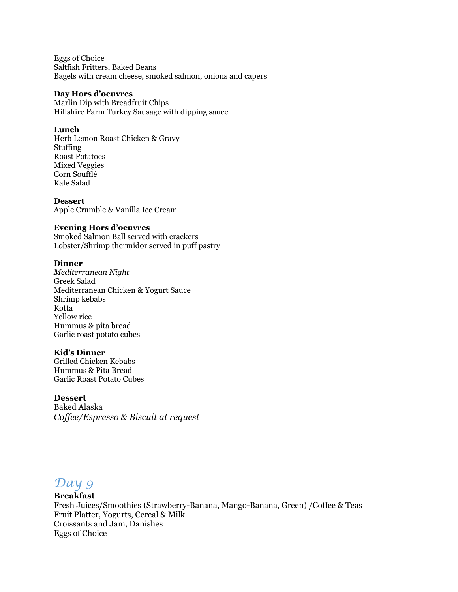Eggs of Choice Saltfish Fritters, Baked Beans Bagels with cream cheese, smoked salmon, onions and capers

#### **Day Hors d'oeuvres**

Marlin Dip with Breadfruit Chips Hillshire Farm Turkey Sausage with dipping sauce

#### **Lunch**

Herb Lemon Roast Chicken & Gravy Stuffing Roast Potatoes Mixed Veggies Corn Soufflé Kale Salad

**Dessert** Apple Crumble & Vanilla Ice Cream

#### **Evening Hors d'oeuvres**

Smoked Salmon Ball served with crackers Lobster/Shrimp thermidor served in puff pastry

#### **Dinner**

*Mediterranean Night* Greek Salad Mediterranean Chicken & Yogurt Sauce Shrimp kebabs Kofta Yellow rice Hummus & pita bread Garlic roast potato cubes

#### **Kid's Dinner**

Grilled Chicken Kebabs Hummus & Pita Bread Garlic Roast Potato Cubes

#### **Dessert**

Baked Alaska *Coffee/Espresso & Biscuit at request*

## *Day 9*

#### **Breakfast**

Fresh Juices/Smoothies (Strawberry-Banana, Mango-Banana, Green) /Coffee & Teas Fruit Platter, Yogurts, Cereal & Milk Croissants and Jam, Danishes Eggs of Choice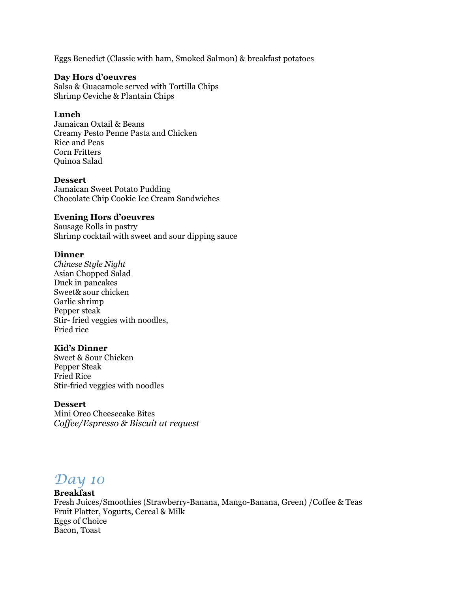Eggs Benedict (Classic with ham, Smoked Salmon) & breakfast potatoes

#### **Day Hors d'oeuvres**

Salsa & Guacamole served with Tortilla Chips Shrimp Ceviche & Plantain Chips

#### **Lunch**

Jamaican Oxtail & Beans Creamy Pesto Penne Pasta and Chicken Rice and Peas Corn Fritters Quinoa Salad

#### **Dessert**

Jamaican Sweet Potato Pudding Chocolate Chip Cookie Ice Cream Sandwiches

#### **Evening Hors d'oeuvres**

Sausage Rolls in pastry Shrimp cocktail with sweet and sour dipping sauce

#### **Dinner**

*Chinese Style Night* Asian Chopped Salad Duck in pancakes Sweet& sour chicken Garlic shrimp Pepper steak Stir- fried veggies with noodles, Fried rice

#### **Kid's Dinner**

Sweet & Sour Chicken Pepper Steak Fried Rice Stir-fried veggies with noodles

#### **Dessert**

Mini Oreo Cheesecake Bites *Coffee/Espresso & Biscuit at request*

## *Day 10*

#### **Breakfast**

Fresh Juices/Smoothies (Strawberry-Banana, Mango-Banana, Green) /Coffee & Teas Fruit Platter, Yogurts, Cereal & Milk Eggs of Choice Bacon, Toast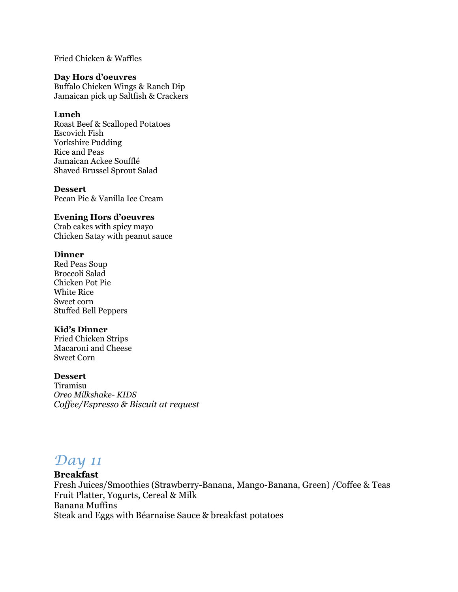Fried Chicken & Waffles

#### **Day Hors d'oeuvres**

Buffalo Chicken Wings & Ranch Dip Jamaican pick up Saltfish & Crackers

#### **Lunch**

Roast Beef & Scalloped Potatoes Escovich Fish Yorkshire Pudding Rice and Peas Jamaican Ackee Soufflé Shaved Brussel Sprout Salad

#### **Dessert**

Pecan Pie & Vanilla Ice Cream

### **Evening Hors d'oeuvres**

Crab cakes with spicy mayo Chicken Satay with peanut sauce

#### **Dinner**

Red Peas Soup Broccoli Salad Chicken Pot Pie White Rice Sweet corn Stuffed Bell Peppers

#### **Kid's Dinner**

Fried Chicken Strips Macaroni and Cheese Sweet Corn

#### **Dessert**

Tiramisu *Oreo Milkshake- KIDS Coffee/Espresso & Biscuit at request*

## *Day 11*

#### **Breakfast**

Fresh Juices/Smoothies (Strawberry-Banana, Mango-Banana, Green) /Coffee & Teas Fruit Platter, Yogurts, Cereal & Milk Banana Muffins Steak and Eggs with Béarnaise Sauce & breakfast potatoes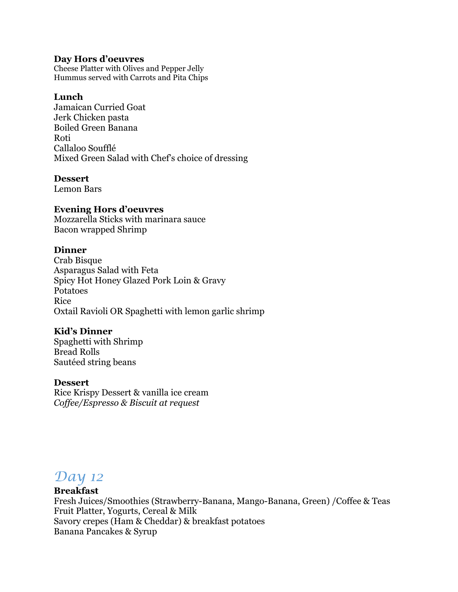## **Day Hors d'oeuvres**

Cheese Platter with Olives and Pepper Jelly Hummus served with Carrots and Pita Chips

## **Lunch**

Jamaican Curried Goat Jerk Chicken pasta Boiled Green Banana Roti Callaloo Soufflé Mixed Green Salad with Chef's choice of dressing

## **Dessert**

Lemon Bars

## **Evening Hors d'oeuvres**

Mozzarella Sticks with marinara sauce Bacon wrapped Shrimp

## **Dinner**

Crab Bisque Asparagus Salad with Feta Spicy Hot Honey Glazed Pork Loin & Gravy Potatoes Rice Oxtail Ravioli OR Spaghetti with lemon garlic shrimp

## **Kid's Dinner**

Spaghetti with Shrimp Bread Rolls Sautéed string beans

## **Dessert**

Rice Krispy Dessert & vanilla ice cream *Coffee/Espresso & Biscuit at request*

## *Day 12*

## **Breakfast**

Fresh Juices/Smoothies (Strawberry-Banana, Mango-Banana, Green) /Coffee & Teas Fruit Platter, Yogurts, Cereal & Milk Savory crepes (Ham & Cheddar) & breakfast potatoes Banana Pancakes & Syrup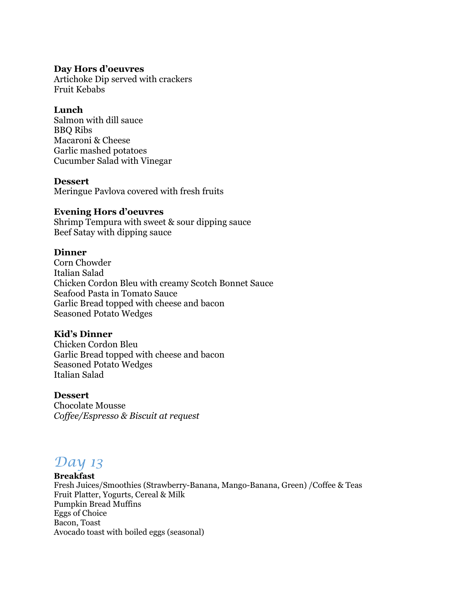## **Day Hors d'oeuvres**

Artichoke Dip served with crackers Fruit Kebabs

## **Lunch**

Salmon with dill sauce BBQ Ribs Macaroni & Cheese Garlic mashed potatoes Cucumber Salad with Vinegar

## **Dessert**

Meringue Pavlova covered with fresh fruits

## **Evening Hors d'oeuvres**

Shrimp Tempura with sweet & sour dipping sauce Beef Satay with dipping sauce

## **Dinner**

Corn Chowder Italian Salad Chicken Cordon Bleu with creamy Scotch Bonnet Sauce Seafood Pasta in Tomato Sauce Garlic Bread topped with cheese and bacon Seasoned Potato Wedges

## **Kid's Dinner**

Chicken Cordon Bleu Garlic Bread topped with cheese and bacon Seasoned Potato Wedges Italian Salad

## **Dessert**

Chocolate Mousse *Coffee/Espresso & Biscuit at request*

## *Day 13*

## **Breakfast**

Fresh Juices/Smoothies (Strawberry-Banana, Mango-Banana, Green) /Coffee & Teas Fruit Platter, Yogurts, Cereal & Milk Pumpkin Bread Muffins Eggs of Choice Bacon, Toast Avocado toast with boiled eggs (seasonal)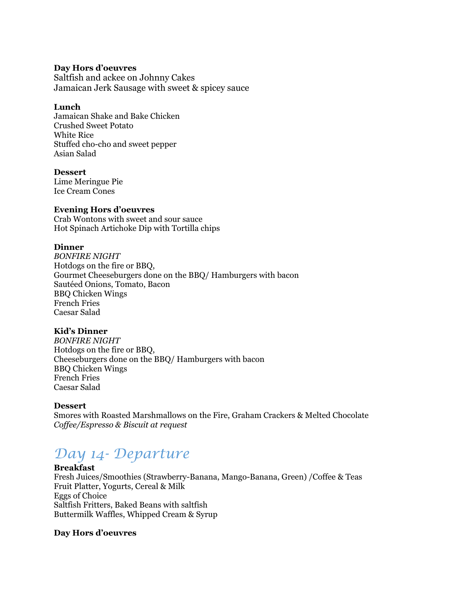#### **Day Hors d'oeuvres**

Saltfish and ackee on Johnny Cakes Jamaican Jerk Sausage with sweet & spicey sauce

#### **Lunch**

Jamaican Shake and Bake Chicken Crushed Sweet Potato White Rice Stuffed cho-cho and sweet pepper Asian Salad

#### **Dessert**

Lime Meringue Pie Ice Cream Cones

## **Evening Hors d'oeuvres**

Crab Wontons with sweet and sour sauce Hot Spinach Artichoke Dip with Tortilla chips

#### **Dinner**

*BONFIRE NIGHT* Hotdogs on the fire or BBQ, Gourmet Cheeseburgers done on the BBQ/ Hamburgers with bacon Sautéed Onions, Tomato, Bacon BBQ Chicken Wings French Fries Caesar Salad

## **Kid's Dinner**

*BONFIRE NIGHT* Hotdogs on the fire or BBQ, Cheeseburgers done on the BBQ/ Hamburgers with bacon BBQ Chicken Wings French Fries Caesar Salad

#### **Dessert**

Smores with Roasted Marshmallows on the Fire, Graham Crackers & Melted Chocolate *Coffee/Espresso & Biscuit at request*

# *Day 14- Departure*

#### **Breakfast**

Fresh Juices/Smoothies (Strawberry-Banana, Mango-Banana, Green) /Coffee & Teas Fruit Platter, Yogurts, Cereal & Milk Eggs of Choice Saltfish Fritters, Baked Beans with saltfish Buttermilk Waffles, Whipped Cream & Syrup

## **Day Hors d'oeuvres**